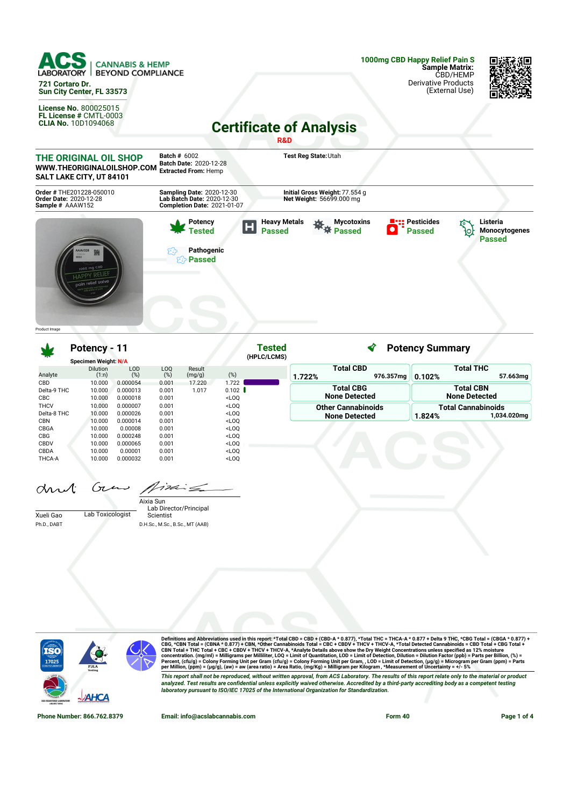

**SALT LAKE CITY, UT 84101 Order #** THE201228-050010 **Order Date:** 2020-12-28 **Sample #** AAAW152 **Sampling Date:** 2020-12-30 **Lab Batch Date:** 2020-12-30 **Initial Gross Weight:**77.554 g **Net Weight:** 56699.000 mg **Completion Date:** 2021-01-07 **Pesticides Potency Heavy Metals 茶**茶 Passed **Mycotoxins Listeria** Н **Tested Passed**  $\bullet$ **Passed Monocytogenes** ło, **Passed Pathogenic Passed** Product Image

**Potency - 11 Tested** ∢ **Potency Summary (HPLC/LCMS) Specimen Weight: N/A Total CBD Total THC** Dilution LOD Result LOQ (%) Analyte  $(1:n)$  $(%)$  $(mg/g)$  (%) **1.722% 976.357mg 0.102% 57.663mg** CBD 10.000 0.000054 0.001 17.220 1.722 Delta-9 THC 10.000 0.000013 0.001 1.017 0.102 **Total CBG Total CBN** Delta-9 THC 10.000<br>CBC 10.000 **None Detected None Detected** CBC 10.000 0.000018 0.001 <LOQ<br>THCV 10.000 0.000007 0.001 <LOO  $10.000$   $0.000007$   $0.001$   $\leq$   $\text{LOQ}$ <br> $10.000$   $0.000026$   $0.001$   $\leq$   $\text{LOQ}$ **Other Cannabinoids Total Cannabinoids** Delta-8 THC **1.824% 1,034.020mg None Detected** CBN 10.000 0.000014 0.001 <LOQ CBGA 10.000 0.00008 0.001 <LOQ CBG 10.000 0.000248 0.001 <LOQ<br>CBDV 10.000 0.000065 0.001 <LOQ 10.000 0.000065<br>10.000 0.00001 CBDA 10.000 0.00001 0.001 <LOQ<br>THCA-A 10.000 0.000032 0.001 <LOQ THCA-A 10.000 0.000032 0.001 <LOQ

and Gras pinis

|             |                  | Aixia Sun                       |
|-------------|------------------|---------------------------------|
|             |                  | Lab Director/Principal          |
| Xueli Gao   | Lab Toxicologist | Scientist                       |
| Ph.D., DABT |                  | D.H.Sc., M.Sc., B.Sc., MT (AAB) |



Definitions and Abbreviations used in this report: \*Total CBD = CBD + (CBD-A \* 0.877), \*Total THC = THCA-A \* 0.877 + Delta 9 THC, \*CBG Total = (CBGA \* 0.877) +<br>CBG, \*CBN Total = (CBNA \* 0.877) + CBN, \*Other Cannabinois To This report shall not be reproduced, without written approval, from ACS Laboratory. The results of this report relate only to the material or product<br>analyzed. Test results are confidential unless explicitly waived otherwi *laboratory pursuant to ISO/IEC 17025 of the International Organization for Standardization.*

**Phone Number: 866.762.8379 Email: info@acslabcannabis.com Form 40 Page 1 of 4**

57 SO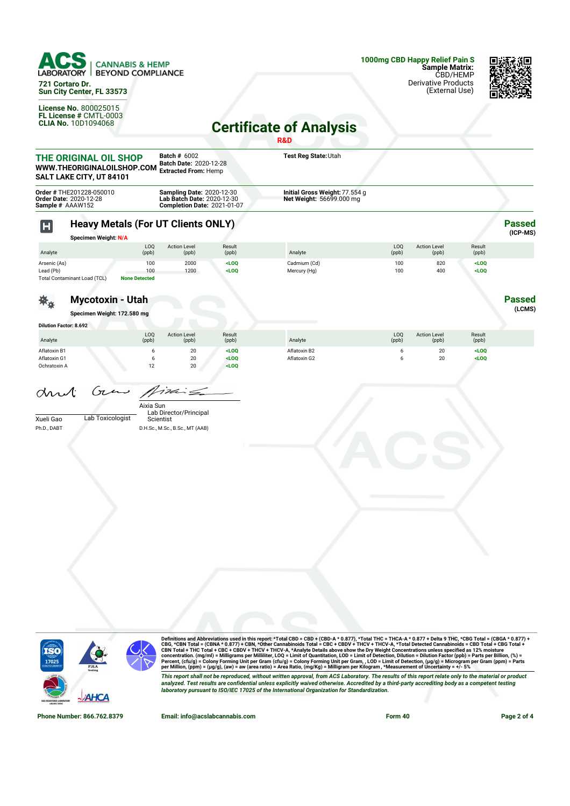

**721 Cortaro Dr. Sun City Center, FL 33573**

**License No.** 800025015 **FL License #** CMTL-0003 **CLIA No.** 10D1094068



## **Certificate of Analysis**

|                                              |                                                                                 |                                    |                                                                                                      |                           | R&D                                                        |              |                              |                    |                           |
|----------------------------------------------|---------------------------------------------------------------------------------|------------------------------------|------------------------------------------------------------------------------------------------------|---------------------------|------------------------------------------------------------|--------------|------------------------------|--------------------|---------------------------|
|                                              | THE ORIGINAL OIL SHOP<br>WWW.THEORIGINALOILSHOP.COM<br>SALT LAKE CITY, UT 84101 |                                    | <b>Batch # 6002</b><br>Batch Date: 2020-12-28<br><b>Extracted From: Hemp</b>                         |                           | Test Reg State: Utah                                       |              |                              |                    |                           |
| Sample # AAAW152                             | Order # THE201228-050010<br>Order Date: 2020-12-28                              |                                    | <b>Sampling Date: 2020-12-30</b><br>Lab Batch Date: 2020-12-30<br><b>Completion Date: 2021-01-07</b> |                           | Initial Gross Weight: 77.554 g<br>Net Weight: 56699.000 mg |              |                              |                    |                           |
| $\mathbf H$                                  | <b>Heavy Metals (For UT Clients ONLY)</b><br><b>Specimen Weight: N/A</b>        |                                    |                                                                                                      |                           |                                                            |              |                              |                    | <b>Passed</b><br>(ICP-MS) |
| Analyte                                      |                                                                                 | LOQ<br>(ppb)                       | <b>Action Level</b><br>(ppb)                                                                         | Result<br>(ppb)           | Analyte                                                    | LOQ<br>(ppb) | <b>Action Level</b><br>(ppb) | Result<br>(ppb)    |                           |
| Arsenic (As)<br>Lead (Pb)                    | Total Contaminant Load (TCL)                                                    | 100<br>100<br><b>None Detected</b> | 2000<br>1200                                                                                         | $<$ LOQ<br>$<$ LOQ        | Cadmium (Cd)<br>Mercury (Hg)                               | 100<br>100   | 820<br>400                   | $<$ LOQ<br>$<$ LOQ |                           |
|                                              | <b>Mycotoxin - Utah</b><br>Specimen Weight: 172.580 mg                          |                                    |                                                                                                      |                           |                                                            |              |                              |                    | <b>Passed</b><br>(LCMS)   |
| <b>Dilution Factor: 8.692</b>                |                                                                                 |                                    |                                                                                                      |                           |                                                            |              |                              |                    |                           |
| Analyte                                      |                                                                                 | LOQ<br>(ppb)                       | <b>Action Level</b><br>(ppb)                                                                         | Result<br>(ppb)           | Analyte                                                    | LOQ<br>(ppb) | <b>Action Level</b><br>(ppb) | Result<br>(ppb)    |                           |
| Aflatoxin B1<br>Aflatoxin G1<br>Ochratoxin A |                                                                                 | 6<br>6<br>12                       | 20<br>20<br>20                                                                                       | $<$ LOQ<br>LOO<br>$<$ LOQ | Aflatoxin B2<br>Aflatoxin G2                               | 6<br>6       | 20<br>20                     | $<$ LOQ<br>LOO     |                           |
| arut<br>Xueli Gao<br>Ph.D., DABT             | Gun<br>Lab Toxicologist                                                         | Aixia Sun<br>Scientist             | $i$ din $\leq$<br>Lab Director/Principal<br>D.H.Sc., M.Sc., B.Sc., MT (AAB)                          |                           |                                                            |              |                              |                    |                           |
|                                              |                                                                                 |                                    |                                                                                                      |                           |                                                            |              |                              |                    |                           |



Definitions and Abbreviations used in this report: \*Total CBD = CBD + (CBD-A \* 0.877), \*Total THC = THCA-A \* 0.877 + Delta 9 THC, \*CBG Total = (CBGA \* 0.877) +<br>CBG, \*CBN Total = (CBNA \* 0.877) + CBN, \*Other Cannabinois To This report shall not be reproduced, without written approval, from ACS Laboratory. The results of this report relate only to the material or product<br>analyzed. Test results are confidential unless explicitly waived otherwi

**Phone Number: 866.762.8379 Email: info@acslabcannabis.com Form 40 Page 2 of 4**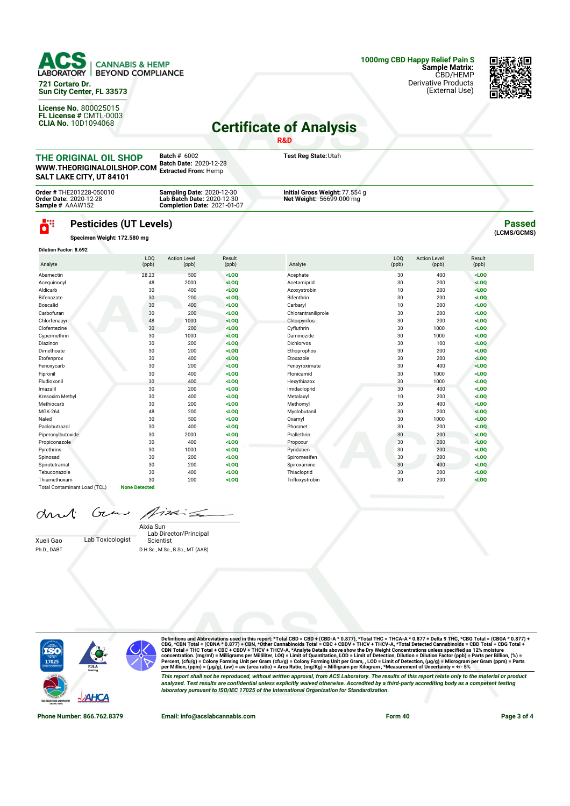

**721 Cortaro Dr. Sun City Center, FL 33573**

**License No.** 800025015 **FL License #** CMTL-0003 **CLIA No.** 10D1094068 (External Use)



## **Certificate of Analysis**

|                                                                                        |                                                              |                                                                                                      |                 | <b>R&amp;D</b>                                             |                          |                              |                 |                              |
|----------------------------------------------------------------------------------------|--------------------------------------------------------------|------------------------------------------------------------------------------------------------------|-----------------|------------------------------------------------------------|--------------------------|------------------------------|-----------------|------------------------------|
| <b>THE ORIGINAL OIL SHOP</b><br>WWW.THEORIGINALOILSHOP.COM<br>SALT LAKE CITY, UT 84101 |                                                              | <b>Batch # 6002</b><br>Batch Date: 2020-12-28<br><b>Extracted From: Hemp</b>                         |                 | Test Reg State: Utah                                       |                          |                              |                 |                              |
| Order # THE201228-050010<br><b>Order Date: 2020-12-28</b><br>Sample # AAAW152          |                                                              | <b>Sampling Date: 2020-12-30</b><br>Lab Batch Date: 2020-12-30<br><b>Completion Date: 2021-01-07</b> |                 | Initial Gross Weight: 77.554 g<br>Net Weight: 56699.000 mg |                          |                              |                 |                              |
| ö"                                                                                     | <b>Pesticides (UT Levels)</b><br>Specimen Weight: 172.580 mg |                                                                                                      |                 |                                                            |                          |                              |                 | <b>Passed</b><br>(LCMS/GCMS) |
| <b>Dilution Factor: 8.692</b>                                                          |                                                              |                                                                                                      |                 |                                                            |                          |                              |                 |                              |
| Analyte                                                                                | L <sub>0</sub><br>(ppb)                                      | <b>Action Level</b><br>(ppb)                                                                         | Result<br>(ppb) | Analyte                                                    | L <sub>00</sub><br>(ppb) | <b>Action Level</b><br>(ppb) | Result<br>(ppb) |                              |
| Abamectin                                                                              | 28.23                                                        | 500                                                                                                  | $<$ LOO         | Acephate                                                   | 30                       | 400                          | $<$ LOO         |                              |
| Acequinocyl                                                                            | 48                                                           | 2000                                                                                                 | $<$ LOQ         | Acetamiprid                                                | 30                       | 200                          | $<$ LOQ         |                              |
| Aldicarb                                                                               | 30                                                           | 400                                                                                                  | $<$ LOO         | Azoxystrobin                                               | 10                       | 200                          | $<$ LOO         |                              |
| Bifenazate                                                                             | 30                                                           | 200                                                                                                  | $<$ LOQ         | Bifenthrin                                                 | 30                       | 200                          | $<$ LOQ         |                              |
| Boscalid                                                                               | 30                                                           | 400                                                                                                  | $<$ LOQ         | Carbaryl                                                   | 10                       | 200                          | $<$ LOQ         |                              |
| Carbofuran                                                                             | 30                                                           | 200                                                                                                  | $<$ LOO         | Chlorantraniliprole                                        | 30                       | 200                          | $<$ LOO         |                              |
| Chlorfenapyr                                                                           | 48                                                           | 1000                                                                                                 | $<$ LOQ         | Chlorpyrifos                                               | 30                       | 200                          | $<$ LOO         |                              |
| Clofentezine                                                                           | 30                                                           | 200                                                                                                  | $<$ LOQ         | Cyfluthrin                                                 | 30                       | 1000                         | $<$ LOQ         |                              |
| Cypermethrin                                                                           | 30                                                           | 1000                                                                                                 | $<$ LOO         | Daminozide                                                 | 30                       | 1000                         | $<$ LOQ         |                              |
| Diazinon                                                                               | 30                                                           | 200                                                                                                  | $<$ LOQ         | <b>Dichlorvos</b>                                          | 30                       | 100                          | $<$ LOQ         |                              |
| Dimethoate                                                                             | 30                                                           | 200                                                                                                  | $<$ LOQ         | Ethoprophos                                                | 30                       | 200                          | $<$ LOO         |                              |
| Etofenprox                                                                             | 30                                                           | 400                                                                                                  | $<$ LOQ         | Etoxazole                                                  | 30                       | 200                          | $<$ LOQ         |                              |
| Fenoxycarb                                                                             | 30                                                           | 200                                                                                                  | $<$ LOQ         | Fenpyroximate                                              | 30                       | 400                          | $<$ LOQ         |                              |
| Fipronil                                                                               | 30                                                           | 400                                                                                                  | $<$ LOO         | Flonicamid                                                 | 30                       | 1000                         | $<$ LOO         |                              |
| Fludioxonil                                                                            | 30                                                           | 400                                                                                                  | $<$ LOO         | Hexythiazox                                                | 30                       | 1000                         | $<$ LOO         |                              |

Imazalil 30 200 **<LOQ** Imidacloprid 30 400 **<LOQ** Kresoxim Methyl 30 400 **<LOQ** Metalaxyl 10 200 **<LOQ** Methiocarb 30 200 **<LOQ** Methomyl 30 400 **<LOQ** MGK-264 48 200 **<LOQ** Myclobutanil 30 200 **<LOQ** Naled 30 500 **<LOQ** Oxamyl 30 1000 **<LOQ** Paclobutrazol 30 400 **<LOQ** Phosmet 30 200 **<LOQ** Piperonylbutoxide 30 2000 **<LOQ** Prallethrin 30 200 **<LOQ** Propiconazole 30 400 **<LOQ** Propoxur 30 200 **<LOQ** Pyrethrins 30 1000 **<LOQ** Pyridaben 30 200 **<LOQ** Spinosad 30 200 **<LOQ** Spiromesifen 30 200 **<LOQ** Spirotetramat 30 200 **<LOQ** Spiroxamine 30 400 **<LOQ** Tebuconazole 30 400 **<LOQ** Thiacloprid 30 200 **<LOQ** Thiamethoxam 30 200 **<LOQ** Trifloxystrobin 30 200 **<LOQ**

| and Grow fixe |  |
|---------------|--|
|               |  |

Total Contaminant Load (TCL) **None Detected**

Xueli Gao Lab Toxicologist Ph.D., DABT

Lab Director/Principal Scientist Aixia Sun D.H.Sc., M.Sc., B.Sc., MT (AAB)

 $\dot{\equiv}$ 



Definitions and Abbreviations used in this report: \*Total CBD = CBD + (CBD-A \* 0.877), \*Total THC = THCA-A \* 0.877 + Delta 9 THC, \*CBG Total = (CBGA \* 0.877) +<br>CBG, \*CBN Total = (CBNA \* 0.877) + CBN, \*Other Cannabinois To This report shall not be reproduced, without written approval, from ACS Laboratory. The results of this report relate only to the material or product<br>analyzed. Test results are confidential unless explicitly waived otherwi *laboratory pursuant to ISO/IEC 17025 of the International Organization for Standardization.*

**Phone Number: 866.762.8379 Email: info@acslabcannabis.com Form 40 Page 3 of 4**